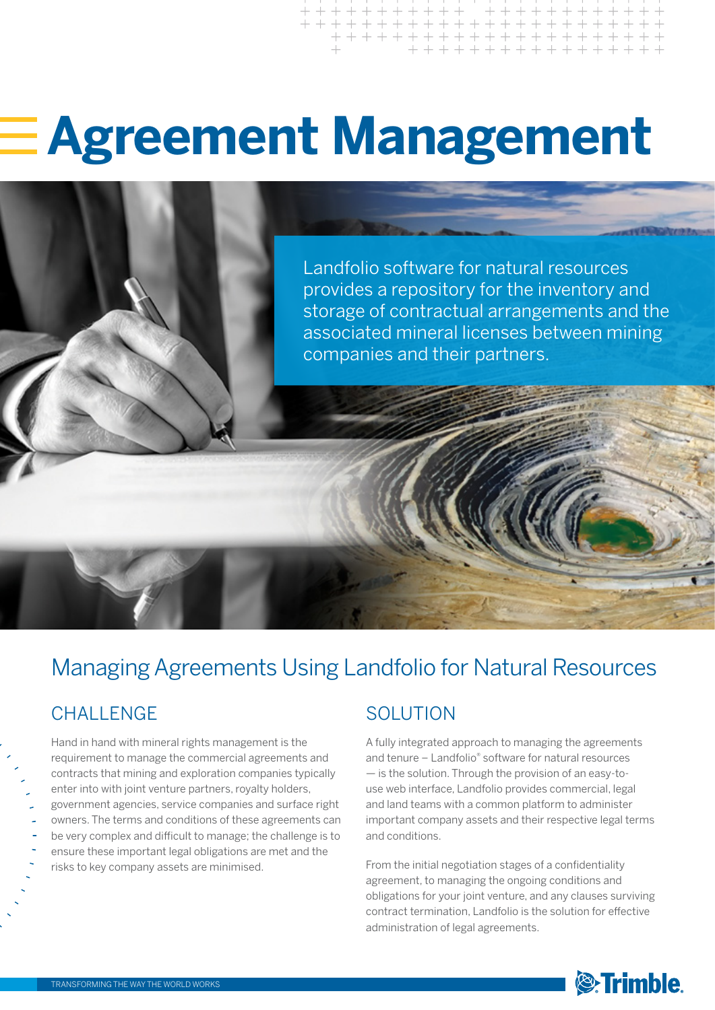# **Agreement Management**

Landfolio software for natural resources provides a repository for the inventory and storage of contractual arrangements and the associated mineral licenses between mining companies and their partners.

# Managing Agreements Using Landfolio for Natural Resources

### CHALL FNGF

Hand in hand with mineral rights management is the requirement to manage the commercial agreements and contracts that mining and exploration companies typically enter into with joint venture partners, royalty holders, government agencies, service companies and surface right owners. The terms and conditions of these agreements can be very complex and difficult to manage; the challenge is to ensure these important legal obligations are met and the risks to key company assets are minimised.

### **SOLUTION**

A fully integrated approach to managing the agreements and tenure – Landfolio® software for natural resources — is the solution. Through the provision of an easy-touse web interface, Landfolio provides commercial, legal and land teams with a common platform to administer important company assets and their respective legal terms and conditions.

From the initial negotiation stages of a confidentiality agreement, to managing the ongoing conditions and obligations for your joint venture, and any clauses surviving contract termination, Landfolio is the solution for effective administration of legal agreements.